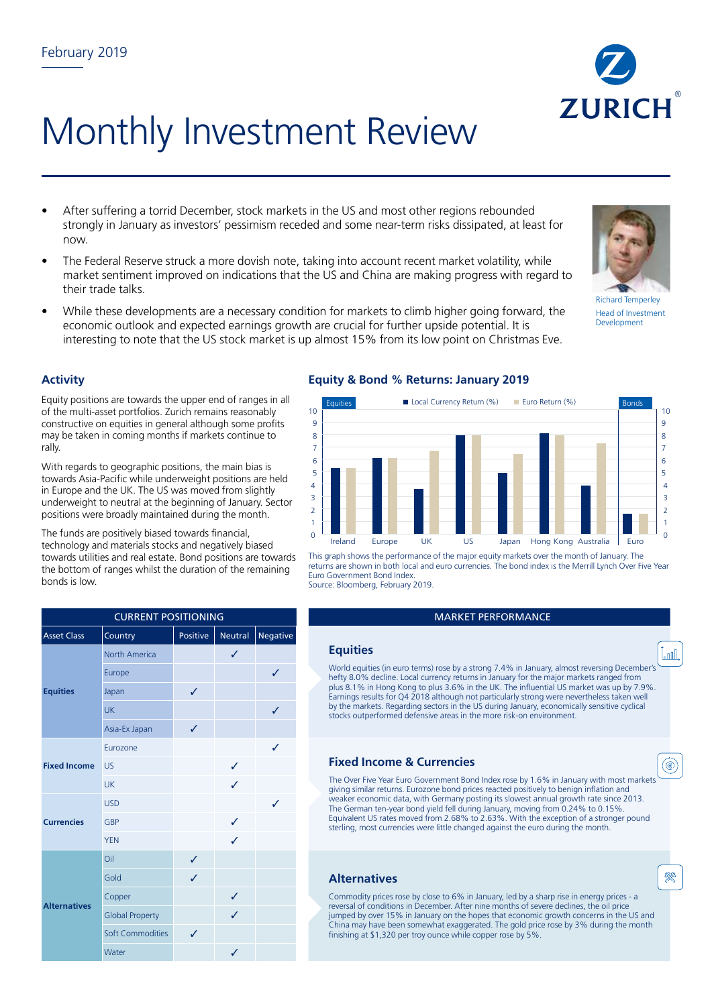

# Monthly Investment Review

- After suffering a torrid December, stock markets in the US and most other regions rebounded strongly in January as investors' pessimism receded and some near-term risks dissipated, at least for now.
- The Federal Reserve struck a more dovish note, taking into account recent market volatility, while market sentiment improved on indications that the US and China are making progress with regard to their trade talks.
- While these developments are a necessary condition for markets to climb higher going forward, the economic outlook and expected earnings growth are crucial for further upside potential. It is interesting to note that the US stock market is up almost 15% from its low point on Christmas Eve.



Richard Temperley Head of Investment Development

## **Activity**

Equity positions are towards the upper end of ranges in all of the multi-asset portfolios. Zurich remains reasonably constructive on equities in general although some profits may be taken in coming months if markets continue to rally.

With regards to geographic positions, the main bias is towards Asia-Pacific while underweight positions are held in Europe and the UK. The US was moved from slightly underweight to neutral at the beginning of January. Sector positions were broadly maintained during the month.

The funds are positively biased towards financial, technology and materials stocks and negatively biased towards utilities and real estate. Bond positions are towards the bottom of ranges whilst the duration of the remaining bonds is low.

| <b>CURRENT POSITIONING</b> |                         |          |         |              |  |  |  |
|----------------------------|-------------------------|----------|---------|--------------|--|--|--|
| <b>Asset Class</b>         | Country                 | Positive | Neutral | Negative     |  |  |  |
| <b>Equities</b>            | <b>North America</b>    |          | ✓       |              |  |  |  |
|                            | Europe                  |          |         | J            |  |  |  |
|                            | Japan                   | ✓        |         |              |  |  |  |
|                            | <b>UK</b>               |          |         | $\checkmark$ |  |  |  |
|                            | Asia-Ex Japan           | ✓        |         |              |  |  |  |
| <b>Fixed Income</b>        | Eurozone                |          |         | ✓            |  |  |  |
|                            | <b>US</b>               |          | ✓       |              |  |  |  |
|                            | UK                      |          | J       |              |  |  |  |
| <b>Currencies</b>          | <b>USD</b>              |          |         | J            |  |  |  |
|                            | GBP                     |          | ✓       |              |  |  |  |
|                            | <b>YEN</b>              |          | J       |              |  |  |  |
| <b>Alternatives</b>        | Oil                     | ✓        |         |              |  |  |  |
|                            | Gold                    | ✓        |         |              |  |  |  |
|                            | Copper                  |          | ✓       |              |  |  |  |
|                            | <b>Global Property</b>  |          | ✓       |              |  |  |  |
|                            | <b>Soft Commodities</b> | ✓        |         |              |  |  |  |
|                            | Water                   |          | ✓       |              |  |  |  |

# **Equity & Bond % Returns: January 2019**



This graph shows the performance of the major equity markets over the month of January. The returns are shown in both local and euro currencies. The bond index is the Merrill Lynch Over Five Year Euro Government Bond Index. Source: Bloomberg, February 2019.

#### **MARKET PERFORMANCE**

#### **Equities**

World equities (in euro terms) rose by a strong 7.4% in January, almost reversing December's hefty 8.0% decline. Local currency returns in January for the major markets ranged from plus 8.1% in Hong Kong to plus 3.6% in the UK. The influential US market was up by 7.9%. Earnings results for Q4 2018 although not particularly strong were nevertheless taken well by the markets. Regarding sectors in the US during January, economically sensitive cyclical stocks outperformed defensive areas in the more risk-on environment.

## **Fixed Income & Currencies**

The Over Five Year Euro Government Bond Index rose by 1.6% in January with most markets giving similar returns. Eurozone bond prices reacted positively to benign inflation and weaker economic data, with Germany posting its slowest annual growth rate since 2013. The German ten-year bond yield fell during January, moving from 0.24% to 0.15%. Equivalent US rates moved from 2.68% to 2.63%. With the exception of a stronger pound sterling, most currencies were little changed against the euro during the month.

#### **Alternatives**



(◉

 $\mathbb{I}_{\text{null}}$ 

Commodity prices rose by close to 6% in January, led by a sharp rise in energy prices - a reversal of conditions in December. After nine months of severe declines, the oil price jumped by over 15% in January on the hopes that economic growth concerns in the US and China may have been somewhat exaggerated. The gold price rose by 3% during the month finishing at \$1,320 per troy ounce while copper rose by 5%.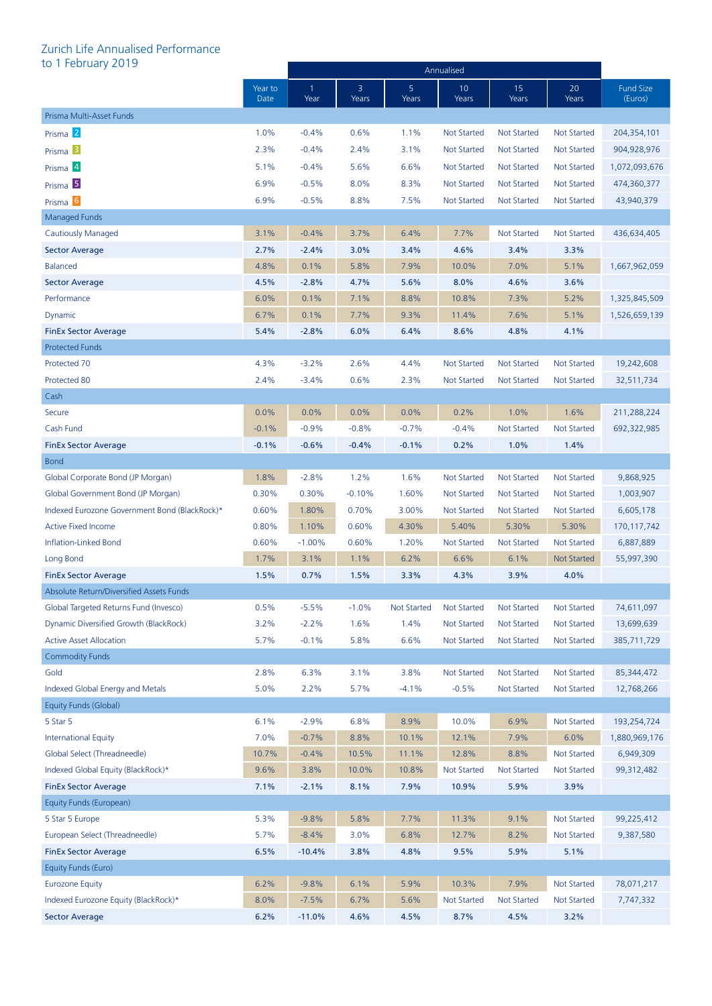# Zurich Life Annualised Performance<br>to 1 February 2019

| to 1 February 2019                            |                 |            |            |                    | Annualised               |                    |                    |                      |
|-----------------------------------------------|-----------------|------------|------------|--------------------|--------------------------|--------------------|--------------------|----------------------|
|                                               | Year to<br>Date | -1<br>Year | 3<br>Years | 5<br>Years         | 10 <sup>°</sup><br>Years | 15<br>Years        | 20<br>Years        | Fund Size<br>(Euros) |
| Prisma Multi-Asset Funds                      |                 |            |            |                    |                          |                    |                    |                      |
| Prisma <sup>2</sup>                           | 1.0%            | $-0.4%$    | 0.6%       | 1.1%               | <b>Not Started</b>       | <b>Not Started</b> | <b>Not Started</b> | 204,354,101          |
| Prisma <sup>B</sup>                           | 2.3%            | $-0.4%$    | 2.4%       | 3.1%               | <b>Not Started</b>       | <b>Not Started</b> | <b>Not Started</b> | 904,928,976          |
| Prisma 4                                      | 5.1%            | $-0.4%$    | 5.6%       | 6.6%               | <b>Not Started</b>       | <b>Not Started</b> | <b>Not Started</b> | 1,072,093,676        |
| Prisma <sup>5</sup>                           | 6.9%            | $-0.5%$    | 8.0%       | 8.3%               | <b>Not Started</b>       | <b>Not Started</b> | <b>Not Started</b> | 474,360,377          |
| Prisma <sup>6</sup>                           | 6.9%            | $-0.5%$    | 8.8%       | 7.5%               | <b>Not Started</b>       | <b>Not Started</b> | <b>Not Started</b> | 43,940,379           |
| Managed Funds                                 |                 |            |            |                    |                          |                    |                    |                      |
| <b>Cautiously Managed</b>                     | 3.1%            | $-0.4%$    | 3.7%       | 6.4%               | 7.7%                     | <b>Not Started</b> | <b>Not Started</b> | 436,634,405          |
| <b>Sector Average</b>                         | 2.7%            | $-2.4%$    | 3.0%       | 3.4%               | 4.6%                     | 3.4%               | 3.3%               |                      |
| <b>Balanced</b>                               | 4.8%            | 0.1%       | 5.8%       | 7.9%               | 10.0%                    | 7.0%               | 5.1%               | 1,667,962,059        |
| <b>Sector Average</b>                         | 4.5%            | $-2.8%$    | 4.7%       | 5.6%               | 8.0%                     | 4.6%               | 3.6%               |                      |
| Performance                                   | 6.0%            | 0.1%       | 7.1%       | 8.8%               | 10.8%                    | 7.3%               | 5.2%               | 1,325,845,509        |
| Dynamic                                       | 6.7%            | 0.1%       | 7.7%       | 9.3%               | 11.4%                    | 7.6%               | 5.1%               | 1,526,659,139        |
| <b>FinEx Sector Average</b>                   | 5.4%            | $-2.8%$    | 6.0%       | 6.4%               | 8.6%                     | 4.8%               | 4.1%               |                      |
| <b>Protected Funds</b>                        |                 |            |            |                    |                          |                    |                    |                      |
| Protected 70                                  | 4.3%            | $-3.2%$    | 2.6%       | 4.4%               | <b>Not Started</b>       | <b>Not Started</b> | <b>Not Started</b> | 19,242,608           |
| Protected 80                                  | 2.4%            | $-3.4%$    | 0.6%       | 2.3%               | <b>Not Started</b>       | <b>Not Started</b> | <b>Not Started</b> | 32,511,734           |
| Cash                                          |                 |            |            |                    |                          |                    |                    |                      |
| Secure                                        | 0.0%            | 0.0%       | 0.0%       | 0.0%               | 0.2%                     | 1.0%               | 1.6%               | 211,288,224          |
| Cash Fund                                     | $-0.1%$         | $-0.9%$    | $-0.8%$    | $-0.7%$            | $-0.4%$                  | <b>Not Started</b> | <b>Not Started</b> | 692,322,985          |
| <b>FinEx Sector Average</b>                   | $-0.1%$         | $-0.6%$    | $-0.4%$    | $-0.1%$            | 0.2%                     | 1.0%               | 1.4%               |                      |
| <b>Bond</b>                                   |                 |            |            |                    |                          |                    |                    |                      |
| Global Corporate Bond (JP Morgan)             | 1.8%            | $-2.8%$    | 1.2%       | 1.6%               | <b>Not Started</b>       | <b>Not Started</b> | <b>Not Started</b> | 9,868,925            |
| Global Government Bond (JP Morgan)            | 0.30%           | 0.30%      | $-0.10%$   | 1.60%              | <b>Not Started</b>       | <b>Not Started</b> | <b>Not Started</b> | 1,003,907            |
| Indexed Eurozone Government Bond (BlackRock)* | 0.60%           | 1.80%      | 0.70%      | 3.00%              | <b>Not Started</b>       | <b>Not Started</b> | <b>Not Started</b> | 6,605,178            |
| <b>Active Fixed Income</b>                    | 0.80%           | 1.10%      | 0.60%      | 4.30%              | 5.40%                    | 5.30%              | 5.30%              | 170,117,742          |
| Inflation-Linked Bond                         | 0.60%           | $-1.00%$   | 0.60%      | 1.20%              | <b>Not Started</b>       | <b>Not Started</b> | <b>Not Started</b> | 6,887,889            |
| Long Bond                                     | 1.7%            | 3.1%       | 1.1%       | 6.2%               | 6.6%                     | 6.1%               | <b>Not Started</b> | 55,997,390           |
| <b>FinEx Sector Average</b>                   | 1.5%            | 0.7%       | 1.5%       | 3.3%               | 4.3%                     | 3.9%               | 4.0%               |                      |
| Absolute Return/Diversified Assets Funds      |                 |            |            |                    |                          |                    |                    |                      |
| Global Targeted Returns Fund (Invesco)        | 0.5%            | $-5.5%$    | $-1.0%$    | <b>Not Started</b> | <b>Not Started</b>       | <b>Not Started</b> | <b>Not Started</b> | 74,611,097           |
| Dynamic Diversified Growth (BlackRock)        | 3.2%            | $-2.2%$    | 1.6%       | 1.4%               | <b>Not Started</b>       | <b>Not Started</b> | <b>Not Started</b> | 13,699,639           |
| <b>Active Asset Allocation</b>                | 5.7%            | $-0.1%$    | 5.8%       | 6.6%               | <b>Not Started</b>       | <b>Not Started</b> | <b>Not Started</b> | 385,711,729          |
| <b>Commodity Funds</b>                        |                 |            |            |                    |                          |                    |                    |                      |
| Gold                                          | 2.8%            | 6.3%       | 3.1%       | 3.8%               | Not Started              | <b>Not Started</b> | <b>Not Started</b> | 85,344,472           |
| Indexed Global Energy and Metals              | 5.0%            | 2.2%       | 5.7%       | $-4.1%$            | $-0.5%$                  | <b>Not Started</b> | <b>Not Started</b> | 12,768,266           |
| Equity Funds (Global)                         |                 |            |            |                    |                          |                    |                    |                      |
| 5 Star 5                                      | 6.1%            | $-2.9%$    | 6.8%       | 8.9%               | 10.0%                    | 6.9%               | Not Started        | 193,254,724          |
| <b>International Equity</b>                   | 7.0%            | $-0.7%$    | 8.8%       | 10.1%              | 12.1%                    | 7.9%               | 6.0%               | 1,880,969,176        |
| Global Select (Threadneedle)                  | 10.7%           | $-0.4%$    | 10.5%      | 11.1%              | 12.8%                    | 8.8%               | <b>Not Started</b> | 6,949,309            |
| Indexed Global Equity (BlackRock)*            | 9.6%            | 3.8%       | 10.0%      | 10.8%              | <b>Not Started</b>       | <b>Not Started</b> | Not Started        | 99,312,482           |
| <b>FinEx Sector Average</b>                   | 7.1%            | $-2.1%$    | 8.1%       | 7.9%               | 10.9%                    | 5.9%               | 3.9%               |                      |
| Equity Funds (European)                       |                 |            |            |                    |                          |                    |                    |                      |
| 5 Star 5 Europe                               | 5.3%            | $-9.8%$    | 5.8%       | 7.7%               | 11.3%                    | 9.1%               | <b>Not Started</b> | 99,225,412           |
| European Select (Threadneedle)                | 5.7%            | $-8.4%$    | 3.0%       | 6.8%               | 12.7%                    | 8.2%               | <b>Not Started</b> | 9,387,580            |
| <b>FinEx Sector Average</b>                   | 6.5%            | $-10.4%$   | 3.8%       | 4.8%               | 9.5%                     | 5.9%               | 5.1%               |                      |
| Equity Funds (Euro)                           |                 |            |            |                    |                          |                    |                    |                      |
| <b>Eurozone Equity</b>                        | 6.2%            | $-9.8%$    | 6.1%       | 5.9%               | 10.3%                    | 7.9%               | <b>Not Started</b> | 78,071,217           |
| Indexed Eurozone Equity (BlackRock)*          | 8.0%            | $-7.5%$    | 6.7%       | 5.6%               | <b>Not Started</b>       | <b>Not Started</b> | <b>Not Started</b> | 7,747,332            |
| <b>Sector Average</b>                         | 6.2%            | $-11.0%$   | 4.6%       | 4.5%               | 8.7%                     | 4.5%               | 3.2%               |                      |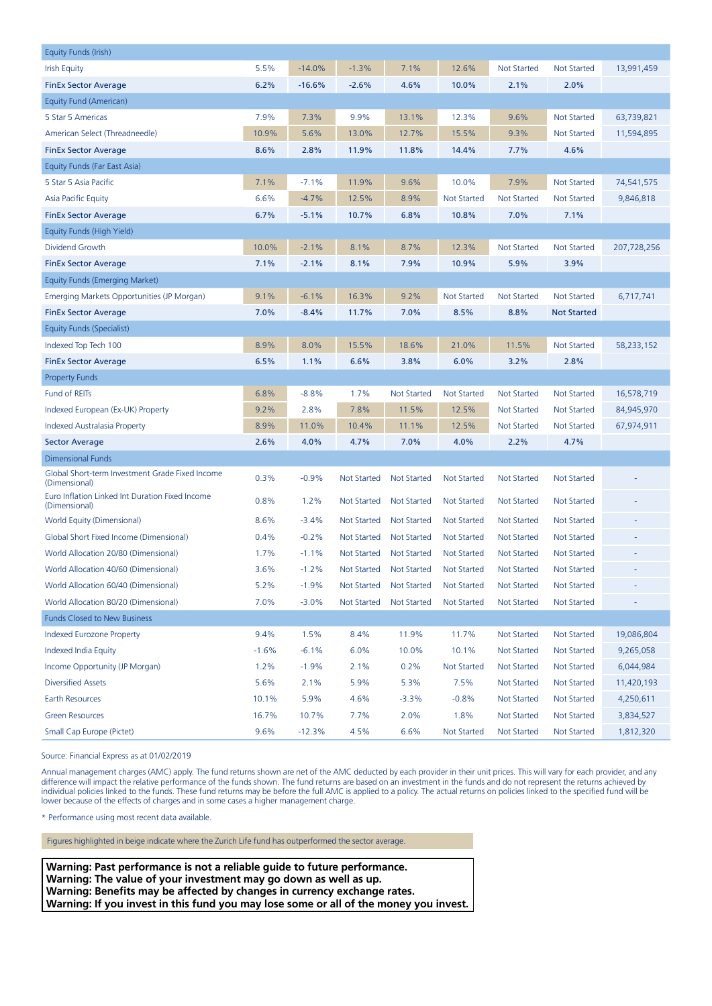| Equity Funds (Irish)                                             |         |          |                    |                    |                    |                    |                    |             |
|------------------------------------------------------------------|---------|----------|--------------------|--------------------|--------------------|--------------------|--------------------|-------------|
| <b>Irish Equity</b>                                              | 5.5%    | $-14.0%$ | $-1.3%$            | 7.1%               | 12.6%              | <b>Not Started</b> | Not Started        | 13,991,459  |
| <b>FinEx Sector Average</b>                                      | 6.2%    | $-16.6%$ | $-2.6%$            | 4.6%               | 10.0%              | 2.1%               | 2.0%               |             |
| Equity Fund (American)                                           |         |          |                    |                    |                    |                    |                    |             |
| 5 Star 5 Americas                                                | 7.9%    | 7.3%     | 9.9%               | 13.1%              | 12.3%              | 9.6%               | Not Started        | 63,739,821  |
| American Select (Threadneedle)                                   | 10.9%   | 5.6%     | 13.0%              | 12.7%              | 15.5%              | 9.3%               | Not Started        | 11,594,895  |
| <b>FinEx Sector Average</b>                                      | 8.6%    | 2.8%     | 11.9%              | 11.8%              | 14.4%              | 7.7%               | 4.6%               |             |
| Equity Funds (Far East Asia)                                     |         |          |                    |                    |                    |                    |                    |             |
| 5 Star 5 Asia Pacific                                            | 7.1%    | $-7.1%$  | 11.9%              | 9.6%               | 10.0%              | 7.9%               | <b>Not Started</b> | 74,541,575  |
| Asia Pacific Equity                                              | 6.6%    | $-4.7%$  | 12.5%              | 8.9%               | <b>Not Started</b> | <b>Not Started</b> | <b>Not Started</b> | 9,846,818   |
| <b>FinEx Sector Average</b>                                      | 6.7%    | $-5.1%$  | 10.7%              | 6.8%               | 10.8%              | 7.0%               | 7.1%               |             |
| Equity Funds (High Yield)                                        |         |          |                    |                    |                    |                    |                    |             |
| Dividend Growth                                                  | 10.0%   | $-2.1%$  | 8.1%               | 8.7%               | 12.3%              | <b>Not Started</b> | <b>Not Started</b> | 207,728,256 |
| <b>FinEx Sector Average</b>                                      | 7.1%    | $-2.1%$  | 8.1%               | 7.9%               | 10.9%              | 5.9%               | 3.9%               |             |
| <b>Equity Funds (Emerging Market)</b>                            |         |          |                    |                    |                    |                    |                    |             |
| Emerging Markets Opportunities (JP Morgan)                       | 9.1%    | $-6.1%$  | 16.3%              | 9.2%               | <b>Not Started</b> | <b>Not Started</b> | <b>Not Started</b> | 6,717,741   |
| <b>FinEx Sector Average</b>                                      | 7.0%    | $-8.4%$  | 11.7%              | 7.0%               | 8.5%               | 8.8%               | <b>Not Started</b> |             |
| Equity Funds (Specialist)                                        |         |          |                    |                    |                    |                    |                    |             |
| Indexed Top Tech 100                                             | 8.9%    | 8.0%     | 15.5%              | 18.6%              | 21.0%              | 11.5%              | <b>Not Started</b> | 58,233,152  |
| <b>FinEx Sector Average</b>                                      | 6.5%    | 1.1%     | 6.6%               | 3.8%               | 6.0%               | 3.2%               | 2.8%               |             |
| <b>Property Funds</b>                                            |         |          |                    |                    |                    |                    |                    |             |
| Fund of REITs                                                    | 6.8%    | $-8.8%$  | 1.7%               | <b>Not Started</b> | <b>Not Started</b> | <b>Not Started</b> | <b>Not Started</b> | 16,578,719  |
| Indexed European (Ex-UK) Property                                | 9.2%    | 2.8%     | 7.8%               | 11.5%              | 12.5%              | Not Started        | Not Started        | 84,945,970  |
| Indexed Australasia Property                                     | 8.9%    | 11.0%    | 10.4%              | 11.1%              | 12.5%              | <b>Not Started</b> | <b>Not Started</b> | 67,974,911  |
| <b>Sector Average</b>                                            | 2.6%    | 4.0%     | 4.7%               | 7.0%               | 4.0%               | 2.2%               | 4.7%               |             |
| <b>Dimensional Funds</b>                                         |         |          |                    |                    |                    |                    |                    |             |
| Global Short-term Investment Grade Fixed Income<br>(Dimensional) | 0.3%    | $-0.9%$  | <b>Not Started</b> | <b>Not Started</b> | <b>Not Started</b> | <b>Not Started</b> | <b>Not Started</b> |             |
| Euro Inflation Linked Int Duration Fixed Income<br>(Dimensional) | 0.8%    | 1.2%     | <b>Not Started</b> | Not Started        | <b>Not Started</b> | Not Started        | Not Started        |             |
| World Equity (Dimensional)                                       | 8.6%    | $-3.4%$  | Not Started        | <b>Not Started</b> | <b>Not Started</b> | Not Started        | <b>Not Started</b> |             |
| Global Short Fixed Income (Dimensional)                          | 0.4%    | $-0.2%$  | <b>Not Started</b> | <b>Not Started</b> | <b>Not Started</b> | <b>Not Started</b> | <b>Not Started</b> |             |
| World Allocation 20/80 (Dimensional)                             | 1.7%    | $-1.1%$  | Not Started        | <b>Not Started</b> | <b>Not Started</b> | <b>Not Started</b> | Not Started        |             |
| World Allocation 40/60 (Dimensional)                             | 3.6%    | $-1.2%$  | Not Started        | Not Started        | Not Started        | <b>Not Started</b> | <b>Not Started</b> |             |
| World Allocation 60/40 (Dimensional)                             | 5.2%    | $-1.9%$  | Not Started        | Not Started        | Not Started        | Not Started        | Not Started        |             |
| World Allocation 80/20 (Dimensional)                             | 7.0%    | $-3.0%$  | <b>Not Started</b> | <b>Not Started</b> | <b>Not Started</b> | <b>Not Started</b> | Not Started        |             |
| <b>Funds Closed to New Business</b>                              |         |          |                    |                    |                    |                    |                    |             |
| <b>Indexed Eurozone Property</b>                                 | 9.4%    | 1.5%     | 8.4%               | 11.9%              | 11.7%              | <b>Not Started</b> | Not Started        | 19,086,804  |
| Indexed India Equity                                             | $-1.6%$ | $-6.1%$  | 6.0%               | 10.0%              | 10.1%              | <b>Not Started</b> | Not Started        | 9,265,058   |
| Income Opportunity (JP Morgan)                                   | 1.2%    | $-1.9%$  | 2.1%               | 0.2%               | <b>Not Started</b> | <b>Not Started</b> | Not Started        | 6,044,984   |
| <b>Diversified Assets</b>                                        | 5.6%    | 2.1%     | 5.9%               | 5.3%               | 7.5%               | <b>Not Started</b> | Not Started        | 11,420,193  |
| Earth Resources                                                  | 10.1%   | 5.9%     | 4.6%               | $-3.3%$            | $-0.8%$            | <b>Not Started</b> | Not Started        | 4,250,611   |
| <b>Green Resources</b>                                           | 16.7%   | 10.7%    | 7.7%               | 2.0%               | 1.8%               | <b>Not Started</b> | Not Started        | 3,834,527   |
| Small Cap Europe (Pictet)                                        | 9.6%    | $-12.3%$ | 4.5%               | 6.6%               | Not Started        | Not Started        | Not Started        | 1,812,320   |

Source: Financial Express as at 01/02/2019

Annual management charges (AMC) apply. The fund returns shown are net of the AMC deducted by each provider in their unit prices. This will vary for each provider, and any difference will impact the relative performance of the funds shown. The fund returns are based on an investment in the funds and do not represent the returns achieved by individual policies linked to the funds. These fund returns may be before the full AMC is applied to a policy. The actual returns on policies linked to the specified fund will be lower because of the effects of charges and in some cases a higher management charge.

\* Performance using most recent data available.

Figures highlighted in beige indicate where the Zurich Life fund has outperformed the sector average.

**Warning: Past performance is not a reliable guide to future performance. Warning: The value of your investment may go down as well as up. Warning: Benefits may be affected by changes in currency exchange rates. Warning: If you invest in this fund you may lose some or all of the money you invest.**